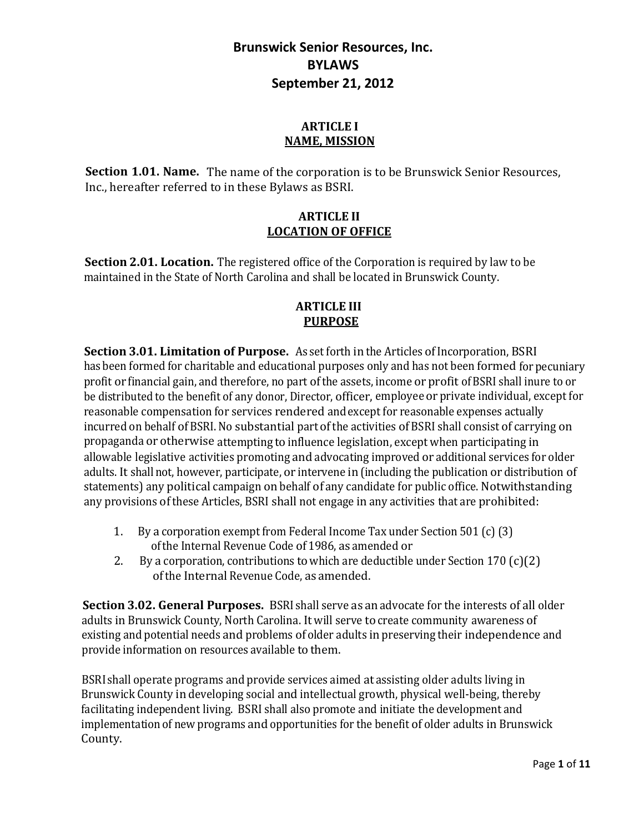#### **ARTICLE I NAME, MISSION**

**Section 1.01. Name.** The name of the corporation is to be Brunswick Senior Resources, Inc., hereafter referred to in these Bylaws as BSRI.

#### **ARTICLE II LOCATION OF OFFICE**

**Section 2.01. Location.** The registered office of the Corporation is required by law to be maintained in the State of North Carolina and shall be located in Brunswick County.

### **ARTICLE III PURPOSE**

**Section 3.01. Limitation of Purpose.** As set forth in the Articles of Incorporation, BSRI has been formed for charitable and educational purposes only and has not been formed for pecuniary profit or financial gain, and therefore, no part of the assets, income or profit of BSRI shall inure to or be distributed to the benefit of any donor, Director, officer, employeeor private individual, except for reasonable compensation for services rendered andexcept for reasonable expenses actually incurred on behalf of BSRI. No substantial part of the activities of BSRI shall consist of carrying on propaganda or otherwise attempting to influence legislation, except when participating in allowable legislative activities promoting and advocating improved or additional services for older adults. It shallnot, however, participate, or intervene in (including the publication or distribution of statements) any political campaign on behalf of any candidate for public office. Notwithstanding any provisions ofthese Articles, BSRI shall not engage in any activities that are prohibited:

- 1. By a corporation exempt from Federal Income Tax under Section 501 (c) (3) ofthe Internal Revenue Code of 1986, as amended or
- 2. By a corporation, contributions towhich are deductible under Section 170 (c)(2) ofthe Internal Revenue Code, as amended.

**Section 3.02. General Purposes.** BSRI shall serve as an advocate for the interests of all older adults in Brunswick County, North Carolina. It will serve to create community awareness of existing and potential needs and problems of older adults in preserving their independence and provide information on resources available to them.

BSRI shall operate programs and provide services aimed at assisting older adults living in Brunswick County in developing social and intellectual growth, physical well-being, thereby facilitating independent living. BSRI shall also promote and initiate the development and implementation of new programs and opportunities for the benefit of older adults in Brunswick County.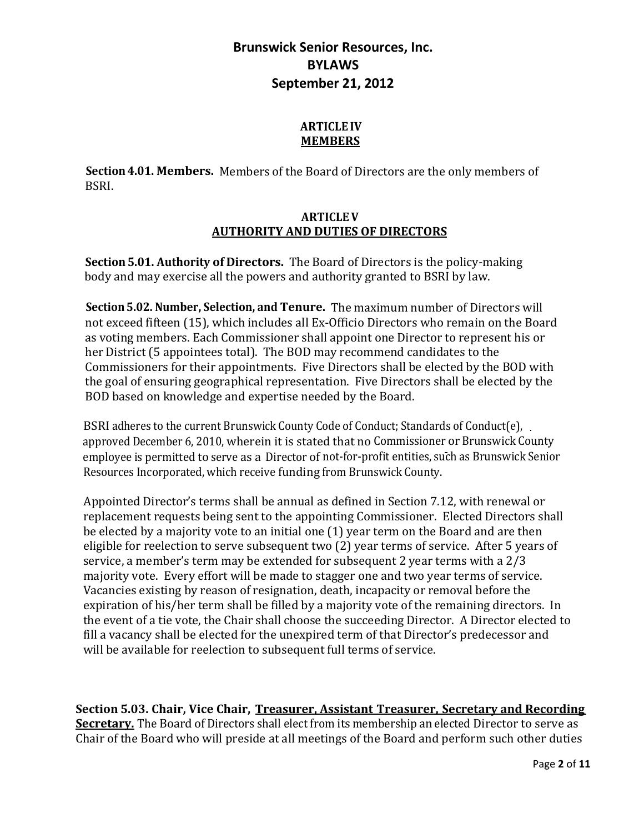### **ARTICLE IV MEMBERS**

**Section4.01. Members.** Members of the Board of Directors are the only members of BSRI.

### **ARTICLEV AUTHORITY AND DUTIES OF DIRECTORS**

**Section5.01. Authority of Directors.** The Board of Directors is the policy-making body and may exercise all the powers and authority granted to BSRI by law.

**Section5.02. Number, Selection, and Tenure.** The maximum number of Directors will not exceed fifteen (15), which includes all Ex-Officio Directors who remain on the Board as voting members. Each Commissioner shall appoint one Director to represent his or her District (5 appointees total). The BOD may recommend candidates to the Commissioners for their appointments. Five Directors shall be elected by the BOD with the goal of ensuring geographical representation. Five Directors shall be elected by the BOD based on knowledge and expertise needed by the Board.

BSRI adheres to the current Brunswick County Code of Conduct; Standards of Conduct(e), . approved December 6, 2010, wherein it is stated that no Commissioner or Brunswick County employee is permitted to serve as a Director of not-for-profit entities, such as Brunswick Senior Resources Incorporated, which receive funding from Brunswick County.

Appointed Director's terms shall be annual as defined in Section 7.12, with renewal or replacement requests being sent to the appointing Commissioner. Elected Directors shall be elected by a majority vote to an initial one (1) year term on the Board and are then eligible for reelection to serve subsequent two (2) year terms of service. After 5 years of service, a member's term may be extended for subsequent 2 year terms with a 2/3 majority vote. Every effort will be made to stagger one and two year terms of service. Vacancies existing by reason of resignation, death, incapacity or removal before the expiration of his/her term shall be filled by a majority vote of the remaining directors. In the event of a tie vote, the Chair shall choose the succeeding Director. A Director elected to fill a vacancy shall be elected for the unexpired term of that Director's predecessor and will be available for reelection to subsequent full terms of service.

**Section 5.03. Chair, Vice Chair, Treasurer, Assistant Treasurer, Secretary and Recording Secretary.** The Board of Directors shall elect from its membership an elected Director to serve as Chair of the Board who will preside at all meetings of the Board and perform such other duties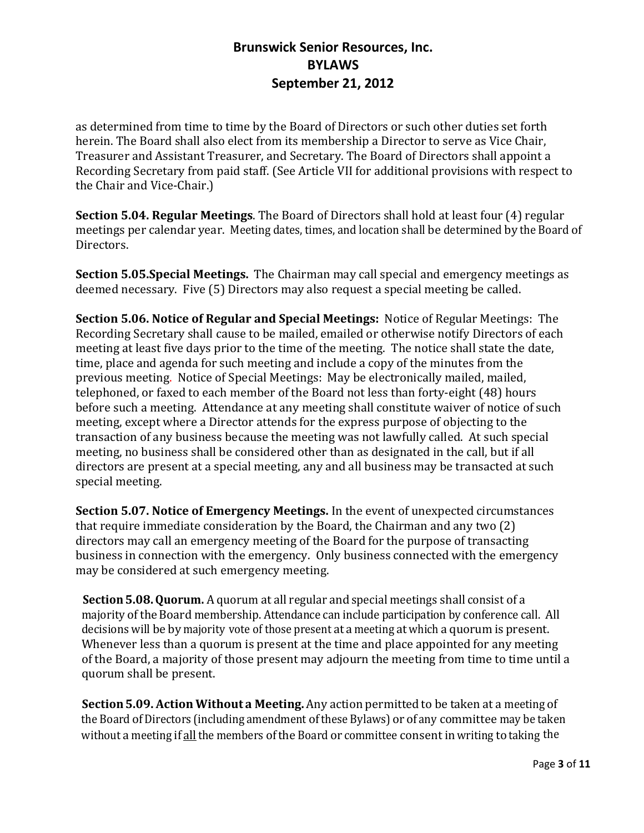as determined from time to time by the Board of Directors or such other duties set forth herein. The Board shall also elect from its membership a Director to serve as Vice Chair, Treasurer and Assistant Treasurer, and Secretary. The Board of Directors shall appoint a Recording Secretary from paid staff. (See Article VII for additional provisions with respect to the Chair and Vice-Chair.)

**Section 5.04. Regular Meetings**. The Board of Directors shall hold at least four (4) regular meetings per calendar year. Meeting dates, times, and location shall be determined by the Board of Directors.

**Section 5.05.Special Meetings.** The Chairman may call special and emergency meetings as deemed necessary. Five (5) Directors may also request a special meeting be called.

**Section 5.06. Notice of Regular and Special Meetings:** Notice of Regular Meetings: The Recording Secretary shall cause to be mailed, emailed or otherwise notify Directors of each meeting at least five days prior to the time of the meeting. The notice shall state the date, time, place and agenda for such meeting and include a copy of the minutes from the previous meeting. Notice of Special Meetings: May be electronically mailed, mailed, telephoned, or faxed to each member of the Board not less than forty-eight (48) hours before such a meeting. Attendance at any meeting shall constitute waiver of notice of such meeting, except where a Director attends for the express purpose of objecting to the transaction of any business because the meeting was not lawfully called. At such special meeting, no business shall be considered other than as designated in the call, but if all directors are present at a special meeting, any and all business may be transacted at such special meeting.

**Section 5.07. Notice of Emergency Meetings.** In the event of unexpected circumstances that require immediate consideration by the Board, the Chairman and any two (2) directors may call an emergency meeting of the Board for the purpose of transacting business in connection with the emergency. Only business connected with the emergency may be considered at such emergency meeting.

**Section 5.08. Quorum.** A quorum at all regular and special meetings shall consist of a majority oftheBoard membership. Attendance can include participation by conference call. All decisions will be by majority vote of those present at a meeting atwhich a quorum is present. Whenever less than a quorum is present at the time and place appointed for any meeting of the Board, a majority of those present may adjourn the meeting from time to time until a quorum shall be present.

**Section5.09. Action Without a Meeting.** Any action permitted to be taken at a meeting of the Board of Directors (including amendment of these Bylaws) or of any committee may be taken without a meeting if all the members of the Board or committee consent in writing to taking the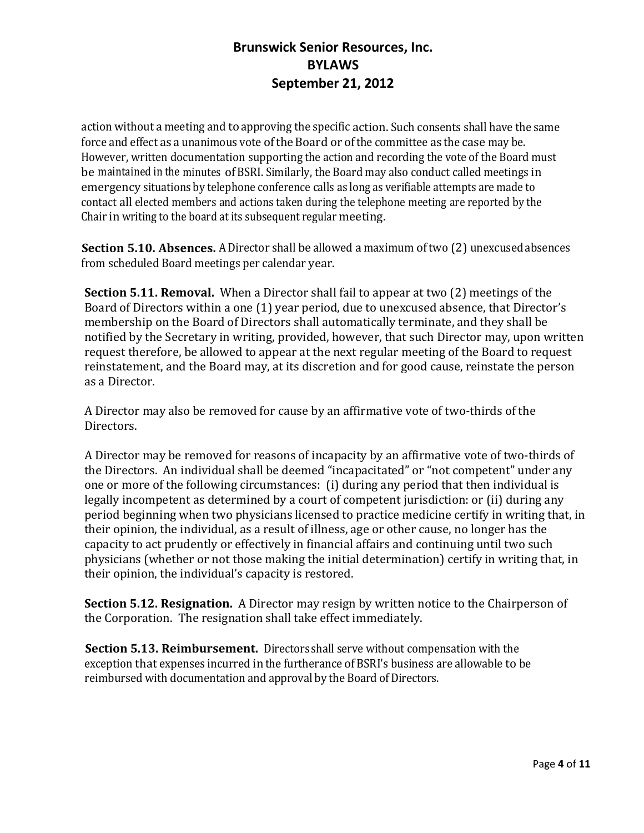action without a meeting and to approving the specific action. Such consents shall have the same force and effect as a unanimous vote of the Board or of the committee as the case may be. However, written documentation supporting the action and recording the vote of the Board must be maintained in the minutes ofBSRI. Similarly, the Board may also conduct called meetings in emergency situations by telephone conference calls as long as verifiable attempts are made to contact all elected members and actions taken during the telephone meeting are reported by the Chair in writing to the board at its subsequent regular meeting.

**Section 5.10. Absences.** A Director shall be allowed a maximum of two (2) unexcused absences from scheduled Board meetings per calendar year.

**Section 5.11. Removal.** When a Director shall fail to appear at two (2) meetings of the Board of Directors within a one (1) year period, due to unexcused absence, that Director's membership on the Board of Directors shall automatically terminate, and they shall be notified by the Secretary in writing, provided, however, that such Director may, upon written request therefore, be allowed to appear at the next regular meeting of the Board to request reinstatement, and the Board may, at its discretion and for good cause, reinstate the person as a Director.

A Director may also be removed for cause by an affirmative vote of two-thirds of the Directors.

A Director may be removed for reasons of incapacity by an affirmative vote of two-thirds of the Directors. An individual shall be deemed "incapacitated" or "not competent" under any one or more of the following circumstances: (i) during any period that then individual is legally incompetent as determined by a court of competent jurisdiction: or (ii) during any period beginning when two physicians licensed to practice medicine certify in writing that, in their opinion, the individual, as a result of illness, age or other cause, no longer has the capacity to act prudently or effectively in financial affairs and continuing until two such physicians (whether or not those making the initial determination) certify in writing that, in their opinion, the individual's capacity is restored.

**Section 5.12. Resignation.** A Director may resign by written notice to the Chairperson of the Corporation. The resignation shall take effect immediately.

**Section 5.13. Reimbursement.** Directors shall serve without compensation with the exception that expenses incurred in the furtherance ofBSRI's business are allowable to be reimbursed with documentation and approval by the Board of Directors.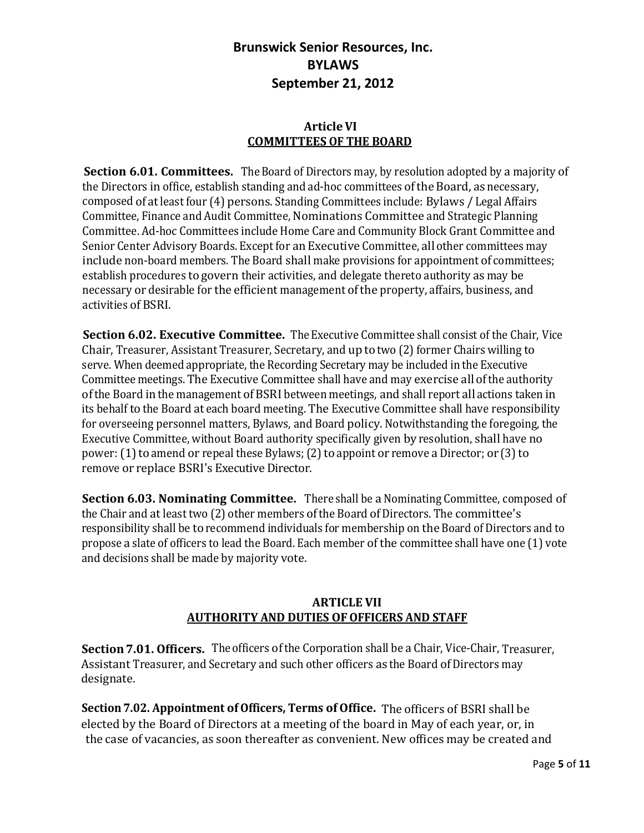### **ArticleVI COMMITTEES OF THE BOARD**

**Section 6.01. Committees.** The Board of Directors may, by resolution adopted by a majority of the Directors in office, establish standing and ad-hoc committees oftheBoard, as necessary, composed of atleast four (4) persons. Standing Committees include: Bylaws / Legal Affairs Committee, Finance and Audit Committee, Nominations Committee and Strategic Planning Committee. Ad-hoc Committees include Home Care and Community Block Grant Committee and Senior Center Advisory Boards. Except for an Executive Committee, all other committees may include non-board members. The Board shall make provisions for appointment of committees; establish procedures to govern their activities, and delegate thereto authority as may be necessary or desirable for the efficient management of the property, affairs, business, and activities ofBSRI.

**Section 6.02. Executive Committee.** The Executive Committee shall consist of the Chair, Vice Chair, Treasurer, Assistant Treasurer, Secretary, and up to two (2) former Chairs willing to serve. When deemed appropriate, the Recording Secretary may be included in the Executive Committee meetings. The Executive Committee shall have and may exercise all ofthe authority ofthe Board in the management ofBSRI between meetings, and shall report all actions taken in its behalf to the Board at each board meeting. The Executive Committee shall have responsibility for overseeing personnel matters, Bylaws, and Board policy. Notwithstanding the foregoing, the Executive Committee, without Board authority specifically given by resolution, shall have no power: (1) to amend or repeal these Bylaws; (2) to appoint or remove a Director; or (3) to remove or replace BSRI's Executive Director.

**Section 6.03. Nominating Committee.** There shall be a Nominating Committee, composed of the Chair and at least two (2) other members ofthe Board ofDirectors. The committee's responsibility shall be to recommend individuals for membership on the Board of Directors and to propose a slate of officers to lead the Board. Each member ofthe committee shall have one (1) vote and decisions shall be made by majority vote.

### **ARTICLE VII AUTHORITY AND DUTIES OFOFFICERS AND STAFF**

**Section 7.01. Officers.** The officers of the Corporation shall be a Chair, Vice-Chair, Treasurer, Assistant Treasurer, and Secretary and such other officers as the Board of Directors may designate.

**Section7.02. Appointment ofOfficers, Terms ofOffice.** The officers of BSRI shall be elected by the Board of Directors at a meeting of the board in May of each year, or, in the case of vacancies, as soon thereafter as convenient. New offices may be created and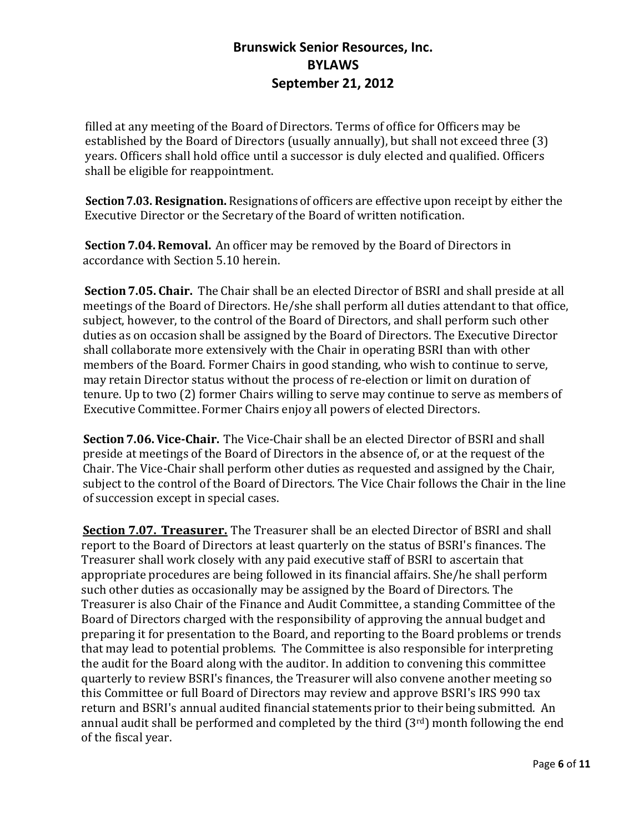filled at any meeting of the Board of Directors. Terms of office for Officers may be established by the Board of Directors (usually annually), but shall not exceed three (3) years. Officers shall hold office until a successor is duly elected and qualified. Officers shall be eligible for reappointment.

**Section7.03. Resignation.** Resignationsof officers are effective upon receipt by either the Executive Director or the Secretary of the Board of written notification.

**Section 7.04.Removal.** An officer may be removed by the Board of Directors in accordance with Section 5.10 herein.

**Section7.05. Chair.** The Chair shall be an elected Director of BSRI and shall preside at all meetings of the Board of Directors. He/she shall perform all duties attendant to that office, subject, however, to the control of the Board of Directors, and shall perform such other duties as on occasion shall be assigned by the Board of Directors. The Executive Director shall collaborate more extensively with the Chair in operating BSRI than with other members of the Board. Former Chairs in good standing, who wish to continue to serve, may retain Director status without the process of re-election or limit on duration of tenure. Up to two (2) former Chairs willing to serve may continue to serve as members of Executive Committee. Former Chairs enjoy all powers of elected Directors.

**Section7.06.Vice-Chair.** The Vice-Chair shall be an elected Director of BSRI and shall preside at meetings of the Board of Directors in the absence of, or at the request of the Chair. The Vice-Chair shall perform other duties as requested and assigned by the Chair, subject to the control of the Board of Directors. The Vice Chair follows the Chair in the line of succession except in special cases.

**Section 7.07. Treasurer.** The Treasurer shall be an elected Director of BSRI and shall report to the Board of Directors at least quarterly on the status of BSRI's finances. The Treasurer shall work closely with any paid executive staff of BSRI to ascertain that appropriate procedures are being followed in its financial affairs. She/he shall perform such other duties as occasionally may be assigned by the Board of Directors. The Treasurer is also Chair of the Finance and Audit Committee, a standing Committee of the Board of Directors charged with the responsibility of approving the annual budget and preparing it for presentation to the Board, and reporting to the Board problems or trends that may lead to potential problems. The Committee is also responsible for interpreting the audit for the Board along with the auditor. In addition to convening this committee quarterly to review BSRI's finances, the Treasurer will also convene another meeting so this Committee or full Board of Directors may review and approve BSRI's IRS 990 tax return and BSRI's annual audited financial statements prior to their being submitted. An annual audit shall be performed and completed by the third  $(3<sup>rd</sup>)$  month following the end of the fiscal year.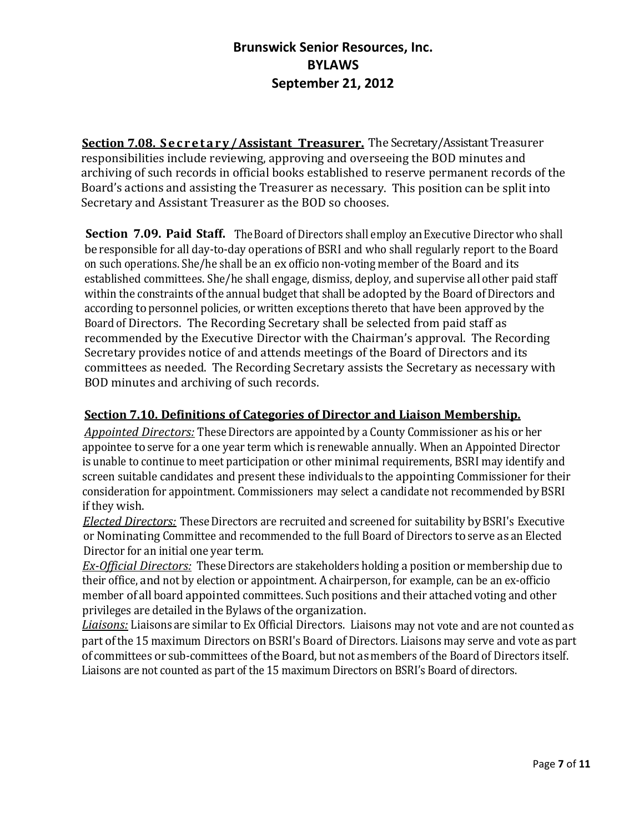**Section 7.08. Secretary/Assistant Treasurer.** The Secretary/Assistant Treasurer responsibilities include reviewing, approving and overseeing the BOD minutes and archiving of such records in official books established to reserve permanent records of the Board's actions and assisting the Treasurer as necessary. This position can be split into Secretary and Assistant Treasurer as the BOD so chooses.

**Section 7.09. Paid Staff.** The Board of Directors shall employ an Executive Director who shall be responsible for all day-to-day operations of BSRI and who shall regularly report to the Board on such operations. She/he shall be an ex officio non-voting member of the Board and its established committees. She/he shall engage, dismiss, deploy, and supervise all other paid staff within the constraints of the annual budget that shall be adopted by the Board of Directors and according to personnel policies, or written exceptions thereto that have been approved by the Board of Directors. The Recording Secretary shall be selected from paid staff as recommended by the Executive Director with the Chairman's approval. The Recording Secretary provides notice of and attends meetings of the Board of Directors and its committees as needed. The Recording Secretary assists the Secretary as necessary with BOD minutes and archiving of such records.

### **Section 7.10. Definitions of Categories of Director and Liaison Membership.**

*Appointed Directors:* These Directors are appointed by a County Commissioner as his or her appointee to serve for a one year term which is renewable annually. When an Appointed Director is unable to continue to meet participation or other minimal requirements, BSRI may identify and screen suitable candidates and present these individuals to the appointing Commissioner for their consideration for appointment. Commissioners may select a candidate not recommended byBSRI if they wish.

*Elected Directors:* These Directors are recruited and screened for suitability by BSRI's Executive or Nominating Committee and recommended to the full Board of Directors to serve as an Elected Director for an initial one year term.

*Ex-Official Directors:* These Directors are stakeholders holding a position or membership due to their office, and not by election or appointment. Achairperson, for example, can be an ex-officio member of all board appointed committees. Such positions and their attached voting and other privileges are detailed in the Bylaws ofthe organization.

*Liaisons:* Liaisons are similar to Ex Official Directors. Liaisons may not vote and are not counted as part of the 15 maximum Directors on BSRI's Board of Directors. Liaisons may serve and vote as part of committees or sub-committees oftheBoard, but not as members of the Board of Directors itself. Liaisons are not counted as part of the 15 maximum Directors on BSRI's Board of directors.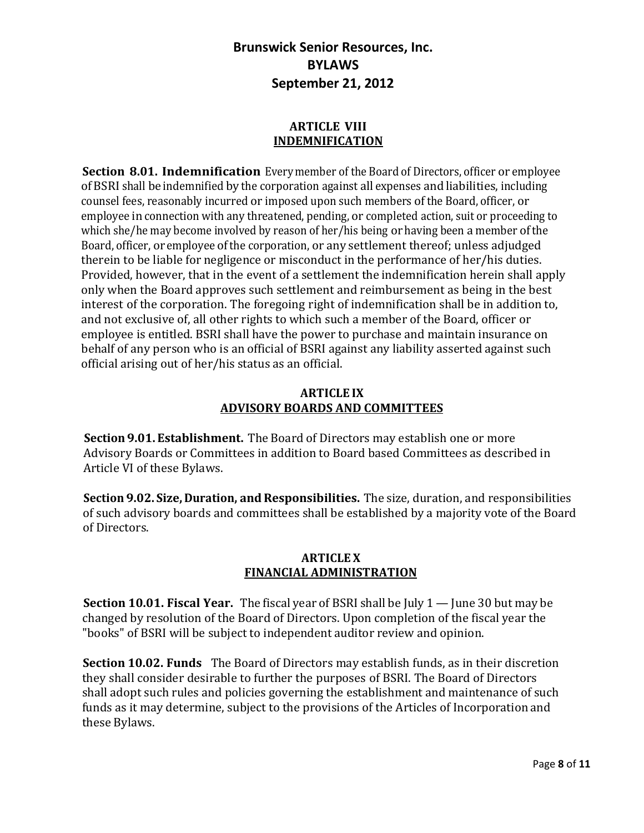#### **ARTICLE VIII INDEMNIFICATION**

**Section 8.01. Indemnification** Everymember of the Board of Directors, officer or employee ofBSRI shall be indemnified by the corporation against all expenses andliabilities, including counsel fees, reasonably incurred or imposed upon such members of the Board, officer, or employee in connection with any threatened, pending, or completed action, suit or proceeding to which she/he may become involved by reason of her/his being or having been a member ofthe Board, officer, or employee ofthe corporation, or any settlement thereof; unless adjudged therein to be liable for negligence or misconduct in the performance of her/his duties. Provided, however, that in the event of a settlement the indemnification herein shall apply only when the Board approves such settlement and reimbursement as being in the best interest of the corporation. The foregoing right of indemnification shall be in addition to, and not exclusive of, all other rights to which such a member of the Board, officer or employee is entitled. BSRI shall have the power to purchase and maintain insurance on behalf of any person who is an official of BSRI against any liability asserted against such official arising out of her/his status as an official.

#### **ARTICLE IX ADVISORY BOARDS AND COMMITTEES**

**Section 9.01. Establishment.** The Board of Directors may establish one or more Advisory Boards or Committees in addition to Board based Committees as described in Article VI of these Bylaws.

**Section 9.02. Size, Duration, and Responsibilities.** The size, duration, and responsibilities of such advisory boards and committees shall be established by a majority vote of the Board of Directors.

### **ARTICLE X FINANCIAL ADMINISTRATION**

**Section 10.01. Fiscal Year.** The fiscal year of BSRI shall be July 1 — June 30 but may be changed by resolution of the Board of Directors. Upon completion of the fiscal year the "books" of BSRI will be subject to independent auditor review and opinion.

**Section 10.02. Funds** The Board of Directors may establish funds, as in their discretion they shall consider desirable to further the purposes of BSRI. The Board of Directors shall adopt such rules and policies governing the establishment and maintenance of such funds as it may determine, subject to the provisions of the Articles of Incorporation and these Bylaws.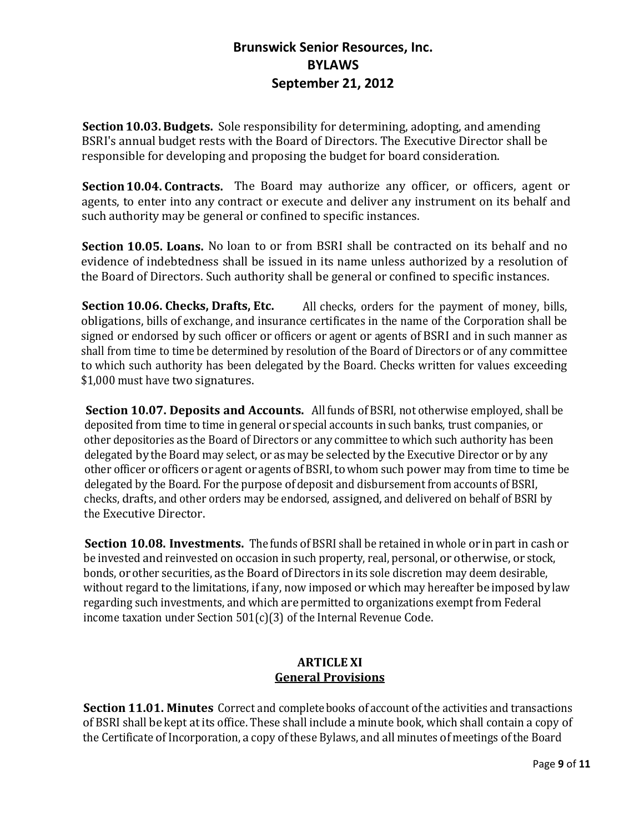**Section 10.03.Budgets.** Sole responsibility for determining, adopting, and amending BSRI's annual budget rests with the Board of Directors. The Executive Director shall be responsible for developing and proposing the budget for board consideration.

**Section 10.04. Contracts.** The Board may authorize any officer, or officers, agent or agents, to enter into any contract or execute and deliver any instrument on its behalf and such authority may be general or confined to specific instances.

**Section 10.05. Loans.** No loan to or from BSRI shall be contracted on its behalf and no evidence of indebtedness shall be issued in its name unless authorized by a resolution of the Board of Directors. Such authority shall be general or confined to specific instances.

**Section 10.06. Checks, Drafts, Etc.** All checks, orders for the payment of money, bills, obligations, bills of exchange, and insurance certificates in the name of the Corporation shall be signed or endorsed by such officer or officers or agent or agents of BSRI and in such manner as shall from time to time be determined by resolution of the Board of Directors or of any committee to which such authority has been delegated by the Board. Checks written for values exceeding \$1,000 must have two signatures.

**Section 10.07. Deposits and Accounts.** Allfunds of BSRI, not otherwise employed, shall be deposited from time to time in general or special accounts in such banks, trust companies, or other depositories as the Board of Directors or any committee to which such authority has been delegated by the Board may select, or as may be selected by the Executive Director or by any other officer or officers or agent or agents ofBSRI, towhom such power may from time to time be delegated by the Board. For the purpose of deposit and disbursement from accounts of BSRI, checks, drafts, and other orders may be endorsed, assigned, and delivered on behalf of BSRI by the Executive Director.

**Section 10.08. Investments.** The funds of BSRI shall be retained in whole or in part in cash or be invested and reinvested on occasion in such property, real, personal, or otherwise, or stock, bonds, or other securities, as the Board of Directors in its sole discretion may deem desirable, without regard to the limitations, if any, now imposed or which may hereafter be imposed by law regarding such investments, and which are permitted to organizations exempt from Federal income taxation under Section 501(c)(3) of the Internal Revenue Code.

#### **ARTICLE XI General Provisions**

**Section 11.01. Minutes** Correct and completebooks of account ofthe activities and transactions of BSRI shall be kept atits office. These shall include a minute book, which shall contain a copy of the Certificate of Incorporation, a copy of these Bylaws, and all minutes of meetings of the Board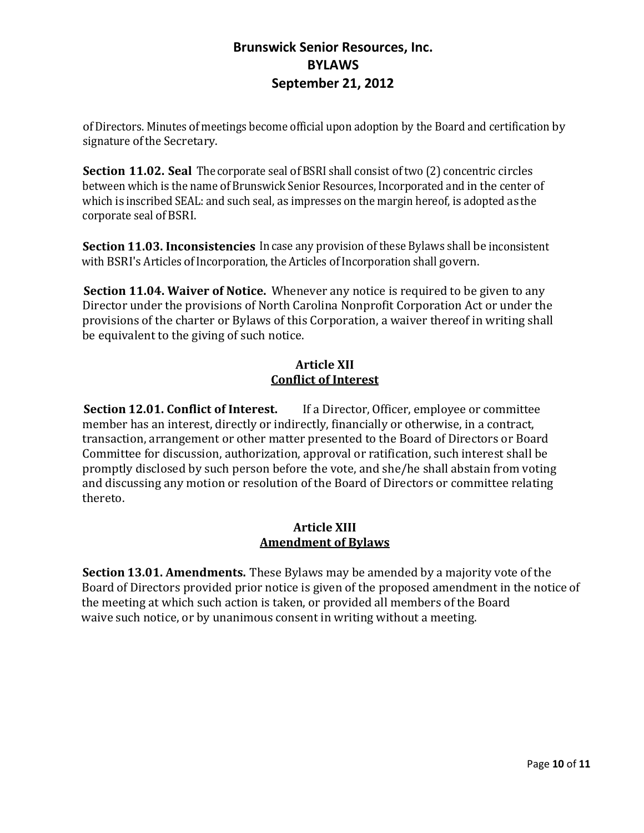ofDirectors. Minutes of meetings become official upon adoption by the Board and certification by signature of the Secretary.

**Section 11.02. Seal** The corporate seal of BSRI shall consist of two (2) concentric circles between which is the name of Brunswick Senior Resources, Incorporated and in the center of which is inscribed SEAL: and such seal, as impresses on the margin hereof, is adopted as the corporate seal ofBSRI.

**Section 11.03. Inconsistencies** In case any provision of these Bylaws shall be inconsistent with BSRI's Articles of Incorporation, the Articles of Incorporation shall govern.

**Section 11.04. Waiver of Notice.** Whenever any notice is required to be given to any Director under the provisions of North Carolina Nonprofit Corporation Act or under the provisions of the charter or Bylaws of this Corporation, a waiver thereof in writing shall be equivalent to the giving of such notice.

### **Article XII Conflict of Interest**

**Section 12.01. Conflict of Interest.** If a Director, Officer, employee or committee member has an interest, directly or indirectly, financially or otherwise, in a contract, transaction, arrangement or other matter presented to the Board of Directors or Board Committee for discussion, authorization, approval or ratification, such interest shall be promptly disclosed by such person before the vote, and she/he shall abstain from voting and discussing any motion or resolution of the Board of Directors or committee relating thereto.

### **Article XIII Amendment of Bylaws**

**Section 13.01. Amendments.** These Bylaws may be amended by a majority vote of the Board of Directors provided prior notice is given of the proposed amendment in the notice of the meeting at which such action is taken, or provided all members of the Board waive such notice, or by unanimous consent in writing without a meeting.